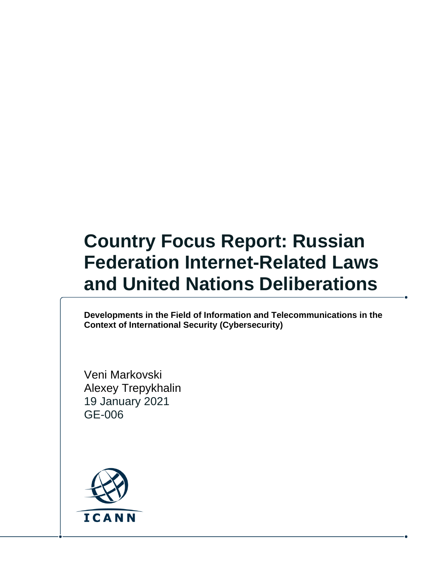# **Country Focus Report: Russian Federation Internet-Related Laws and United Nations Deliberations**

**Developments in the Field of Information and Telecommunications in the Context of International Security (Cybersecurity)**

Veni Markovski Alexey Trepykhalin 19 January 2021 GE-006

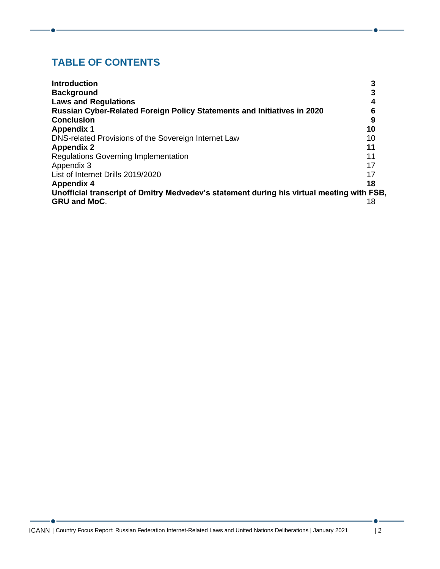#### **TABLE OF CONTENTS**

| <b>Introduction</b>                                                                       |    |
|-------------------------------------------------------------------------------------------|----|
| <b>Background</b>                                                                         |    |
| <b>Laws and Regulations</b>                                                               |    |
| <b>Russian Cyber-Related Foreign Policy Statements and Initiatives in 2020</b>            |    |
| <b>Conclusion</b>                                                                         |    |
| <b>Appendix 1</b>                                                                         | 10 |
| DNS-related Provisions of the Sovereign Internet Law                                      | 10 |
| <b>Appendix 2</b>                                                                         | 11 |
| <b>Regulations Governing Implementation</b>                                               | 11 |
| Appendix 3                                                                                | 17 |
| List of Internet Drills 2019/2020                                                         | 17 |
| <b>Appendix 4</b>                                                                         | 18 |
| Unofficial transcript of Dmitry Medvedev's statement during his virtual meeting with FSB, |    |
| <b>GRU and MoC.</b>                                                                       | 18 |

 $\bullet$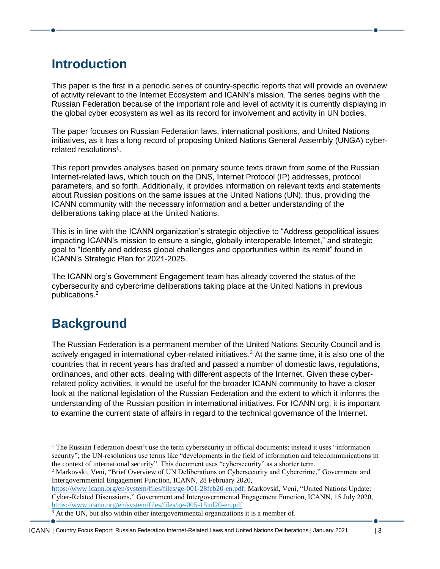#### <span id="page-2-0"></span>**Introduction**

This paper is the first in a periodic series of country-specific reports that will provide an overview of activity relevant to the Internet Ecosystem and ICANN's mission. The series begins with the Russian Federation because of the important role and level of activity it is currently displaying in the global cyber ecosystem as well as its record for involvement and activity in UN bodies.

The paper focuses on Russian Federation laws, international positions, and United Nations initiatives, as it has a long record of proposing United Nations General Assembly (UNGA) cyberrelated resolutions<sup>1</sup>.

This report provides analyses based on primary source texts drawn from some of the Russian Internet-related laws, which touch on the DNS, Internet Protocol (IP) addresses, protocol parameters, and so forth. Additionally, it provides information on relevant texts and statements about Russian positions on the same issues at the United Nations (UN); thus, providing the ICANN community with the necessary information and a better understanding of the deliberations taking place at the United Nations.

This is in line with the ICANN organization's strategic objective to "Address geopolitical issues impacting ICANN's mission to ensure a single, globally interoperable Internet," and strategic goal to "Identify and address global challenges and opportunities within its remit" found in ICANN's Strategic Plan for 2021-2025.

The ICANN org's Government Engagement team has already covered the status of the cybersecurity and cybercrime deliberations taking place at the United Nations in previous publications. 2

#### <span id="page-2-1"></span>**Background**

The Russian Federation is a permanent member of the United Nations Security Council and is actively engaged in international cyber-related initiatives. <sup>3</sup> At the same time, it is also one of the countries that in recent years has drafted and passed a number of domestic laws, regulations, ordinances, and other acts, dealing with different aspects of the Internet. Given these cyberrelated policy activities, it would be useful for the broader ICANN community to have a closer look at the national legislation of the Russian Federation and the extent to which it informs the understanding of the Russian position in international initiatives. For ICANN org, it is important to examine the current state of affairs in regard to the technical governance of the Internet.

<sup>2</sup> Markovski, Veni, "Brief Overview of UN Deliberations on Cybersecurity and Cybercrime," Government and Intergovernmental Engagement Function, ICANN, 28 February 2020,

[https://www.icann.org/en/system/files/files/ge-001-28feb20-en.pdf;](https://www.icann.org/en/system/files/files/ge-001-28feb20-en.pdf) Markovski, Veni, "United Nations Update: Cyber-Related Discussions," Government and Intergovernmental Engagement Function, ICANN, 15 July 2020, <https://www.icann.org/en/system/files/files/ge-005-15jul20-en.pdf>

<sup>&</sup>lt;sup>1</sup> The Russian Federation doesn't use the term cybersecurity in official documents; instead it uses "information" security"; the UN-resolutions use terms like "developments in the field of information and telecommunications in the context of international security". This document uses "cybersecurity" as a shorter term.

<sup>&</sup>lt;sup>3</sup> At the UN, but also within other intergovernmental organizations it is a member of.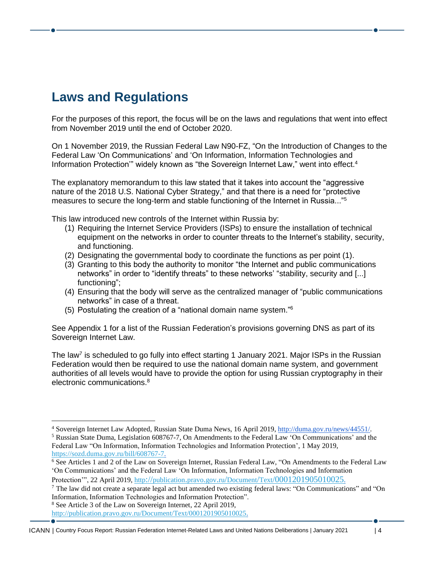## <span id="page-3-0"></span>**Laws and Regulations**

For the purposes of this report, the focus will be on the laws and regulations that went into effect from November 2019 until the end of October 2020.

On 1 November 2019, the Russian Federal Law N90-FZ, "On the Introduction of Changes to the Federal Law 'Оn Communications' and 'On Information, Information Technologies and Information Protection" widely known as "the Sovereign Internet Law," went into effect.<sup>4</sup>

The explanatory memorandum to this law stated that it takes into account the "aggressive nature of the 2018 U.S. National Cyber Strategy," and that there is a need for "protective measures to secure the long-term and stable functioning of the Internet in Russia..."<sup>5</sup>

This law introduced new controls of the Internet within Russia by:

- (1) Requiring the Internet Service Providers (ISPs) to ensure the installation of technical equipment on the networks in order to counter threats to the Internet's stability, security, and functioning.
- (2) Designating the governmental body to coordinate the functions as per point (1).
- (3) Granting to this body the authority to monitor "the Internet and public communications networks" in order to "identify threats" to these networks' "stability, security and [...] functioning";
- (4) Ensuring that the body will serve as the centralized manager of "public communications networks" in case of a threat.
- (5) Postulating the creation of a "national domain name system." 6

See Appendix 1 for a list of the Russian Federation's provisions governing DNS as part of its Sovereign Internet Law.

The law<sup>7</sup> is scheduled to go fully into effect starting 1 January 2021. Major ISPs in the Russian Federation would then be required to use the national domain name system, and government authorities of all levels would have to provide the option for using Russian cryptography in their electronic communications.<sup>8</sup>

<sup>8</sup> See Article 3 of the Law on Sovereign Internet, 22 April 2019,

[http://publication.pravo.gov.ru/Document/Text/0001201905010025.](http://publication.pravo.gov.ru/Document/Text/0001201905010025)

<sup>4</sup> Sovereign Internet Law Adopted, Russian State Duma News, 16 April 2019[, http://duma.gov.ru/news/44551/.](http://duma.gov.ru/news/44551/)

<sup>5</sup> Russian State Duma, Legislation 608767-7, On Amendments to the Federal Law 'On Communications' and the Federal Law "On Information, Information Technologies and Information Protection', 1 May 2019, [https://sozd.duma.gov.ru/bill/608767-7.](https://sozd.duma.gov.ru/bill/608767-7)

<sup>6</sup> See Articles 1 and 2 of the Law on Sovereign Internet, Russian Federal Law, "On Amendments to the Federal Law 'On Communications' and the Federal Law 'On Information, Information Technologies and Information Protection", 22 April 2019, http://[publication](http://publication.pravo.gov.ru/Document/Text/0001201905010025).pravo.gov.ru/Document/Text[/0001201905010025](http://publication.pravo.gov.ru/Document/Text/0001201905010025).

<sup>&</sup>lt;sup>7</sup> The law did not create a separate legal act but amended two existing federal laws: "On Communications" and "On Information, Information Technologies and Information Protection".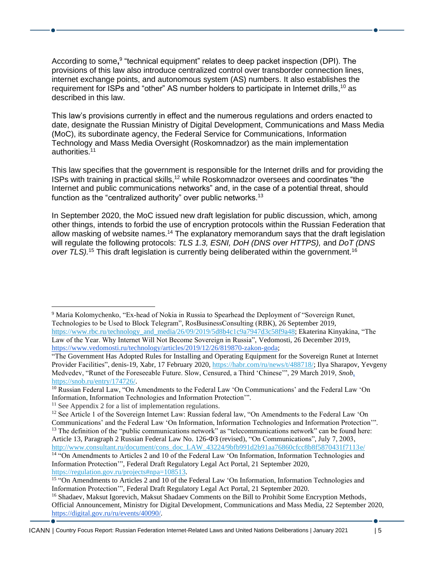According to some,<sup>9</sup> "technical equipment" relates to deep packet inspection (DPI). The provisions of this law also introduce centralized control over transborder connection lines, internet exchange points, and autonomous system (AS) numbers. It also establishes the requirement for ISPs and "other" AS number holders to participate in Internet drills,<sup>10</sup> as described in this law.

This law's provisions currently in effect and the numerous regulations and orders enacted to date, designate the Russian Ministry of Digital Development, Communications and Mass Media (MoC), its subordinate agency, the Federal Service for Communications, Information Technology and Mass Media Oversight (Roskomnadzor) as the main implementation authorities.<sup>11</sup>

This law specifies that the government is responsible for the Internet drills and for providing the ISPs with training in practical skills,<sup>12</sup> while Roskomnadzor oversees and coordinates "the Internet and public communications networks" and, in the case of a potential threat, should function as the "centralized authority" over public networks.<sup>13</sup>

In September 2020, the MoC issued new draft legislation for public discussion, which, among other things, intends to forbid the use of encryption protocols within the Russian Federation that allow masking of website names.<sup>14</sup> The explanatory memorandum says that the draft legislation will regulate the following protocols: *TLS 1.3, ESNI, DoH (DNS over HTTPS),* and *DoT (DNS over TLS).*<sup>15</sup> This draft legislation is currently being deliberated within the government.<sup>16</sup>

<sup>9</sup> Maria Kolomychenko, "Ex-head of Nokia in Russia to Spearhead the Deployment of "Sovereign Runet, Technologies to be Used to Block Telegram", RosBusinessConsulting (RBK), 26 September 2019, [https://www.rbc.ru/technology\\_and\\_media/26/09/2019/5d8b4c1c9a7947d3c58f9a48;](https://www.rbc.ru/technology_and_media/26/09/2019/5d8b4c1c9a7947d3c58f9a48) Ekaterina Kinyakina, "The Law of the Year. Why Internet Will Not Become Sovereign in Russia", Vedomosti, 26 December 2019,

[https://www.vedomosti.ru/technology/articles/2019/12/26/819870-zakon-goda;](https://www.vedomosti.ru/technology/articles/2019/12/26/819870-zakon-goda)

[http://www.consultant.ru/document/cons\\_doc\\_LAW\\_43224/9bfb991d2b91aa76860cfcc8b8f5870431f7113e/](http://www.consultant.ru/document/cons_doc_LAW_43224/9bfb991d2b91aa76860cfcc8b8f5870431f7113e/)  $\frac{14}{14}$  "On Amendments to Articles 2 and 10 of the Federal Law 'On Information, Information Technologies and

<sup>&</sup>quot;The Government Has Adopted Rules for Installing and Operating Equipment for the Sovereign Runet at Internet Provider Facilities", denis-19, Xabr, 17 February 2020[, https://habr.com/ru/news/t/488718/;](https://habr.com/ru/news/t/488718/) Ilya Sharapov, Yevgeny Medvedev, "Runet of the Foreseeable Future. Slow, Censured, a Third 'Chinese'", 29 March 2019, *Snob*, [https://snob.ru/entry/174726/.](https://snob.ru/entry/174726/)

<sup>&</sup>lt;sup>10</sup> Russian Federal Law, "On Amendments to the Federal Law 'On Communications' and the Federal Law 'On Information, Information Technologies and Information Protection'".

<sup>&</sup>lt;sup>11</sup> See Appendix 2 for a list of implementation regulations.

<sup>&</sup>lt;sup>12</sup> See Article 1 of the Sovereign Internet Law: Russian federal law, "On Amendments to the Federal Law 'On Communications' and the Federal Law 'On Information, Information Technologies and Information Protection'". <sup>13</sup> The definition of the "public communications network" as "telecommunications network" can be found here: Article 13, Paragraph 2 Russian Federal Law No. 126-ФЗ (revised), "On Communications", July 7, 2003,

Information Protection'", Federal Draft Regulatory Legal Act Portal, 21 September 2020, [https://regulation.gov.ru/projects#npa=108513.](https://regulation.gov.ru/projects#npa=108513)

<sup>&</sup>lt;sup>15</sup> "On Amendments to Articles 2 and 10 of the Federal Law 'On Information, Information Technologies and Information Protection'", Federal Draft Regulatory Legal Act Portal, 21 September 2020.

<sup>&</sup>lt;sup>16</sup> Shadaev, Maksut Igorevich, Maksut Shadaev Comments on the Bill to Prohibit Some Encryption Methods, Official Announcement, Ministry for Digital Development, Communications and Mass Media, 22 September 2020, [https://digital.gov.ru/ru/events/40090/.](https://digital.gov.ru/ru/events/40090/)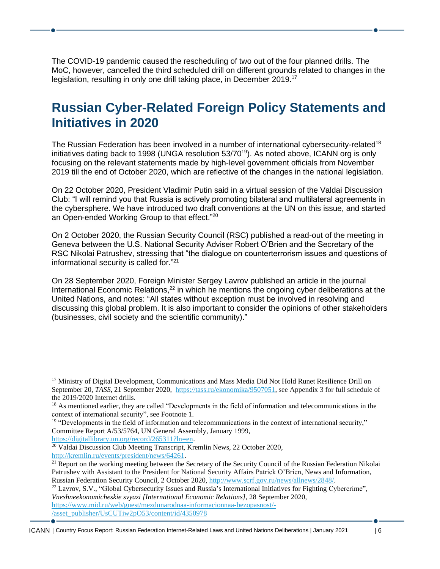The COVID-19 pandemic caused the rescheduling of two out of the four planned drills. The MoC, however, cancelled the third scheduled drill on different grounds related to changes in the legislation, resulting in only one drill taking place, in December 2019.<sup>17</sup>

#### <span id="page-5-0"></span>**Russian Cyber-Related Foreign Policy Statements and Initiatives in 2020**

The Russian Federation has been involved in a number of international cybersecurity-related<sup>18</sup> initiatives dating back to 1998 (UNGA resolution 53/70<sup>19</sup>). As noted above, ICANN org is only focusing on the relevant statements made by high-level government officials from November 2019 till the end of October 2020, which are reflective of the changes in the national legislation.

On 22 October 2020, President Vladimir Putin said in a virtual session of the Valdai Discussion Club: "I will remind you that Russia is actively promoting bilateral and multilateral agreements in the cybersphere. We have introduced two draft conventions at the UN on this issue, and started an Open-ended Working Group to that effect."<sup>20</sup>

On 2 October 2020, the Russian Security Council (RSC) published a read-out of the meeting in Geneva between the U.S. National Security Adviser Robert O'Brien and the Secretary of the RSC Nikolai Patrushev, stressing that "the dialogue on counterterrorism issues and questions of informational security is called for." 21

On 28 September 2020, Foreign Minister Sergey Lavrov published an article in the journal International Economic Relations,<sup>22</sup> in which he mentions the ongoing cyber deliberations at the United Nations, and notes: "All states without exception must be involved in resolving and discussing this global problem. It is also important to consider the opinions of other stakeholders (businesses, civil society and the scientific community)."

[https://digitallibrary.un.org/record/265311?ln=en.](https://digitallibrary.un.org/record/265311?ln=en)

<sup>22</sup> Lavrov, S.V., "Global Cybersecurity Issues and Russia's International Initiatives for Fighting Cybercrime", *Vneshneekonomicheskie svyazi [International Economic Relations]*, 28 September 2020, [https://www.mid.ru/web/guest/mezdunarodnaa-informacionnaa-bezopasnost/-](https://www.mid.ru/web/guest/mezdunarodnaa-informacionnaa-bezopasnost/-/asset_publisher/UsCUTiw2pO53/content/id/4350978) [/asset\\_publisher/UsCUTiw2pO53/content/id/4350978](https://www.mid.ru/web/guest/mezdunarodnaa-informacionnaa-bezopasnost/-/asset_publisher/UsCUTiw2pO53/content/id/4350978)

<sup>&</sup>lt;sup>17</sup> Ministry of Digital Development, Communications and Mass Media Did Not Hold Runet Resilience Drill on September 20, *TASS*, 21 September 2020, [https://tass.ru/ekonomika/9507051,](https://tass.ru/ekonomika/9507051) see Appendix 3 for full schedule of the 2019/2020 Internet drills.

<sup>&</sup>lt;sup>18</sup> As mentioned earlier, they are called "Developments in the field of information and telecommunications in the context of international security", see Footnote 1.

<sup>&</sup>lt;sup>19</sup> "Developments in the field of information and telecommunications in the context of international security," Committee Report A/53/5764, UN General Assembly, January 1999,

<sup>&</sup>lt;sup>20</sup> Valdai Discussion Club Meeting Transcript, Kremlin News, 22 October 2020, [http://kremlin.ru/events/president/news/64261.](http://kremlin.ru/events/president/news/64261)

 $21$  Report on the working meeting between the Secretary of the Security Council of the Russian Federation Nikolai Patrushev with Assistant to the President for National Security Affairs Patrick O'Brien, News and Information, Russian Federation Security Council, 2 October 2020, [http://www.scrf.gov.ru/news/allnews/2848/.](http://www.scrf.gov.ru/news/allnews/2848/)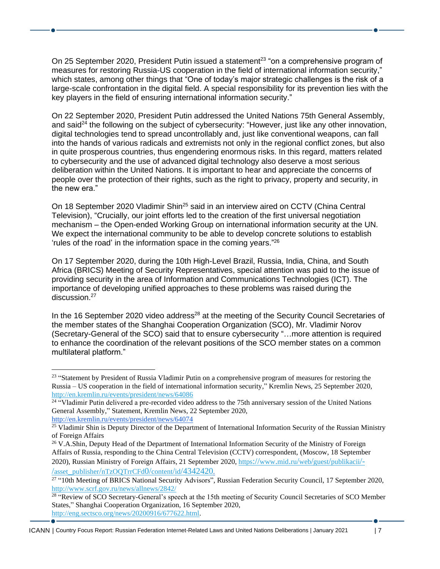On 25 September 2020, President Putin issued a statement<sup>23</sup> "on a comprehensive program of measures for restoring Russia-US cooperation in the field of international information security," which states, among other things that "One of today's major strategic challenges is the risk of a large-scale confrontation in the digital field. A special responsibility for its prevention lies with the key players in the field of ensuring international information security."

On 22 September 2020, President Putin addressed the United Nations 75th General Assembly, and said<sup>24</sup> the following on the subject of cybersecurity: "However, just like any other innovation, digital technologies tend to spread uncontrollably and, just like conventional weapons, can fall into the hands of various radicals and extremists not only in the regional conflict zones, but also in quite prosperous countries, thus engendering enormous risks. In this regard, matters related to cybersecurity and the use of advanced digital technology also deserve a most serious deliberation within the United Nations. It is important to hear and appreciate the concerns of people over the protection of their rights, such as the right to privacy, property and security, in the new era."

On 18 September 2020 Vladimir Shin<sup>25</sup> said in an interview aired on CCTV (China Central Television), "Crucially, our joint efforts led to the creation of the first universal negotiation mechanism – the Open-ended Working Group on international information security at the UN. We expect the international community to be able to develop concrete solutions to establish 'rules of the road' in the information space in the coming years." 26

On 17 September 2020, during the 10th High-Level Brazil, Russia, India, China, and South Africa (BRICS) Meeting of Security Representatives, special attention was paid to the issue of providing security in the area of Information and Communications Technologies (ICT). The importance of developing unified approaches to these problems was raised during the discussion. 27

In the 16 September 2020 video address<sup>28</sup> at the meeting of the Security Council Secretaries of the member states of the Shanghai Cooperation Organization (SCO), Mr. Vladimir Norov (Secretary-General of the SCO) said that to ensure cybersecurity "…more attention is required to enhance the coordination of the relevant positions of the SCO member states on a common multilateral platform."

<sup>&</sup>lt;sup>23</sup> "Statement by President of Russia Vladimir Putin on a comprehensive program of measures for restoring the Russia – US cooperation in the field of international information security," Kremlin News, 25 September 2020, <http://en.kremlin.ru/events/president/news/64086>

<sup>&</sup>lt;sup>24</sup> "Vladimir Putin delivered a pre-recorded video address to the 75th anniversary session of the United Nations General Assembly," Statement, Kremlin News, 22 September 2020, <http://en.kremlin.ru/events/president/news/64074>

<sup>&</sup>lt;sup>25</sup> Vladimir Shin is Deputy Director of the Department of International Information Security of the Russian Ministry of Foreign Affairs

<sup>&</sup>lt;sup>26</sup> V.A.Shin, Deputy Head of the Department of International Information Security of the Ministry of Foreign Affairs of Russia, responding to the China Central Television (CCTV) correspondent, (Moscow, 18 September 2020), Russian Ministry of Foreign Affairs, 21 September 2020, https://www.mid.ru/web/guest/[publikacii](https://www.mid.ru/web/guest/publikacii/-/asset_publisher/nTzOQTrrCFd0/content/id/4342420)[/-](https://www.mid.ru/web/guest/publikacii/-/asset_publisher/nTzOQTrrCFd0/content/id/4342420) /asset\_publisher/[nTzOQTrrCFd](https://www.mid.ru/web/guest/publikacii/-/asset_publisher/nTzOQTrrCFd0/content/id/4342420)0/content/id/4342420.

<sup>&</sup>lt;sup>27</sup> "10th Meeting of BRICS National Security Advisors", Russian Federation Security Council, 17 September 2020, <http://www.scrf.gov.ru/news/allnews/2842/>

<sup>&</sup>lt;sup>28</sup> "Review of SCO Secretary-General's speech at the 15th meeting of Security Council Secretaries of SCO Member States," Shanghai Cooperation Organization, 16 September 2020, [http://eng.sectsco.org/news/20200916/677622.html.](http://eng.sectsco.org/news/20200916/677622.html)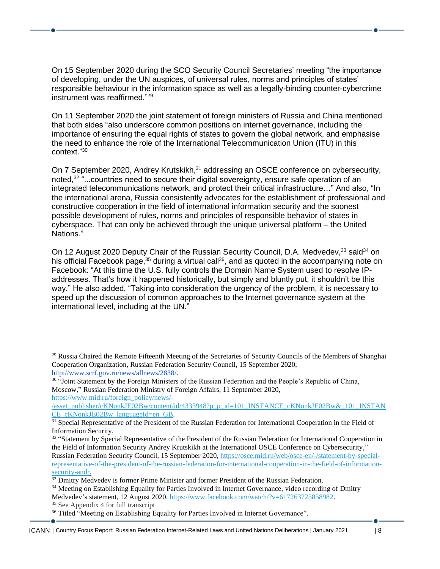On 15 September 2020 during the SCO Security Council Secretaries' meeting "the importance of developing, under the UN auspices, of universal rules, norms and principles of states' responsible behaviour in the information space as well as a legally-binding counter-cybercrime instrument was reaffirmed." 29

On 11 September 2020 the joint statement of foreign ministers of Russia and China mentioned that both sides "also underscore common positions on internet governance, including the importance of ensuring the equal rights of states to govern the global network, and emphasise the need to enhance the role of the International Telecommunication Union (ITU) in this context." 30

On 7 September 2020, Andrey Krutskikh,<sup>31</sup> addressing an OSCE conference on cybersecurity, noted,<sup>32</sup> "...countries need to secure their digital sovereignty, ensure safe operation of an integrated telecommunications network, and protect their critical infrastructure…" And also, "In the international arena, Russia consistently advocates for the establishment of professional and constructive cooperation in the field of international information security and the soonest possible development of rules, norms and principles of responsible behavior of states in cyberspace. That can only be achieved through the unique universal platform – the United Nations."

On 12 August 2020 Deputy Chair of the Russian Security Council, D.A. Medvedev,<sup>33</sup> said<sup>34</sup> on his official Facebook page,<sup>35</sup> during a virtual call<sup>36</sup>, and as quoted in the accompanying note on Facebook: "At this time the U.S. fully controls the Domain Name System used to resolve IPaddresses. That's how it happened historically, but simply and bluntly put, it shouldn't be this way." He also added, "Taking into consideration the urgency of the problem, it is necessary to speed up the discussion of common approaches to the Internet governance system at the international level, including at the UN."

<sup>35</sup> See Appendix 4 for full transcript

<sup>&</sup>lt;sup>29</sup> Russia Chaired the Remote Fifteenth Meeting of the Secretaries of Security Councils of the Members of Shanghai Cooperation Organization, Russian Federation Security Council, 15 September 2020, [http://www.scrf.gov.ru/news/allnews/2838/.](http://www.scrf.gov.ru/news/allnews/2838/)

<sup>&</sup>lt;sup>30</sup> "Joint Statement by the Foreign Ministers of the Russian Federation and the People's Republic of China, Moscow," Russian Federation Ministry of Foreign Affairs, 11 September 2020, [https://www.mid.ru/foreign\\_policy/news/-](https://www.mid.ru/foreign_policy/news/-/asset_publisher/cKNonkJE02Bw/content/id/4335948?p_p_id=101_INSTANCE_cKNonkJE02Bw&_101_INSTANCE_cKNonkJE02Bw_languageId=en_GB)

[<sup>/</sup>asset\\_publisher/cKNonkJE02Bw/content/id/4335948?p\\_p\\_id=101\\_INSTANCE\\_cKNonkJE02Bw&\\_101\\_INSTAN](https://www.mid.ru/foreign_policy/news/-/asset_publisher/cKNonkJE02Bw/content/id/4335948?p_p_id=101_INSTANCE_cKNonkJE02Bw&_101_INSTANCE_cKNonkJE02Bw_languageId=en_GB) [CE\\_cKNonkJE02Bw\\_languageId=en\\_GB.](https://www.mid.ru/foreign_policy/news/-/asset_publisher/cKNonkJE02Bw/content/id/4335948?p_p_id=101_INSTANCE_cKNonkJE02Bw&_101_INSTANCE_cKNonkJE02Bw_languageId=en_GB)

<sup>&</sup>lt;sup>31</sup> Special Representative of the President of the Russian Federation for International Cooperation in the Field of Information Security.

<sup>&</sup>lt;sup>32</sup> "Statement by Special Representative of the President of the Russian Federation for International Cooperation in the Field of Information Security Andrey Krutskikh at the International OSCE Conference on Cybersecurity," Russian Federation Security Council, 15 September 2020[, https://osce.mid.ru/web/osce-en/-/statement-by-special](https://osce.mid.ru/web/osce-en/-/statement-by-special-representative-of-the-president-of-the-russian-federation-for-international-cooperation-in-the-field-of-information-security-andr)[representative-of-the-president-of-the-russian-federation-for-international-cooperation-in-the-field-of-information](https://osce.mid.ru/web/osce-en/-/statement-by-special-representative-of-the-president-of-the-russian-federation-for-international-cooperation-in-the-field-of-information-security-andr)[security-andr.](https://osce.mid.ru/web/osce-en/-/statement-by-special-representative-of-the-president-of-the-russian-federation-for-international-cooperation-in-the-field-of-information-security-andr)

<sup>&</sup>lt;sup>33</sup> Dmitry Medvedev is former Prime Minister and former President of the Russian Federation.

<sup>&</sup>lt;sup>34</sup> Meeting on Establishing Equality for Parties Involved in Internet Governance, video recording of Dmitry Medvedev's statement, 12 August 2020, [https://www.facebook.com/watch/?v=617263725858982.](https://www.facebook.com/watch/?v=617263725858982)

<sup>&</sup>lt;sup>36</sup> Titled "Meeting on Establishing Equality for Parties Involved in Internet Governance".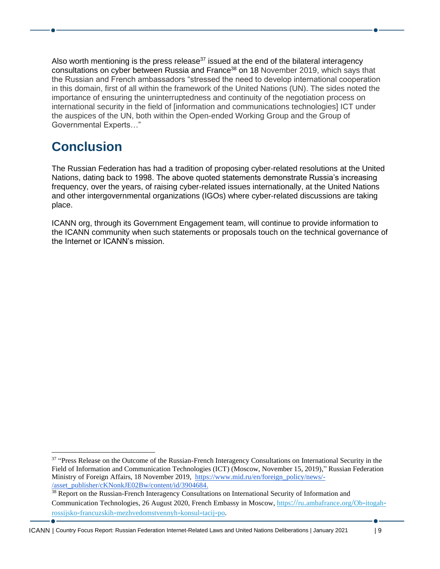Also worth mentioning is the press release $37$  issued at the end of the bilateral interagency consultations on cyber between Russia and France<sup>38</sup> on 18 November 2019, which says that the Russian and French ambassadors "stressed the need to develop international cooperation in this domain, first of all within the framework of the United Nations (UN). The sides noted the importance of ensuring the uninterruptedness and continuity of the negotiation process on international security in the field of [information and communications technologies] ICT under the auspices of the UN, both within the Open-ended Working Group and the Group of Governmental Experts…"

#### <span id="page-8-0"></span>**Conclusion**

The Russian Federation has had a tradition of proposing cyber-related resolutions at the United Nations, dating back to 1998. The above quoted statements demonstrate Russia's increasing frequency, over the years, of raising cyber-related issues internationally, at the United Nations and other intergovernmental organizations (IGOs) where cyber-related discussions are taking place.

ICANN org, through its Government Engagement team, will continue to provide information to the ICANN community when such statements or proposals touch on the technical governance of the Internet or ICANN's mission.

<sup>&</sup>lt;sup>37</sup> "Press Release on the Outcome of the Russian-French Interagency Consultations on International Security in the Field of Information and Communication Technologies (ICT) (Moscow, November 15, 2019)," Russian Federation Ministry of Foreign Affairs, 18 November 2019, [https://www.mid.ru/en/foreign\\_policy/news/-](https://www.mid.ru/en/foreign_policy/news/-/asset_publisher/cKNonkJE02Bw/content/id/3904684) [/asset\\_publisher/cKNonkJE02Bw/content/id/3904684.](https://www.mid.ru/en/foreign_policy/news/-/asset_publisher/cKNonkJE02Bw/content/id/3904684)

<sup>&</sup>lt;sup>38</sup> Report on the Russian-French Interagency Consultations on International Security of Information and Communication Technologies, 26 August 2020, French Embassy in Moscow, https://ru.[ambafrance](https://ru.ambafrance.org/Ob-itogah-rossijsko-francuzskih-mezhvedomstvennyh-konsul-tacij-po).org/Ob-itogahrossijsko-francuzskih-[mezhvedomstvennyh](https://ru.ambafrance.org/Ob-itogah-rossijsko-francuzskih-mezhvedomstvennyh-konsul-tacij-po)-konsul-tacij-po.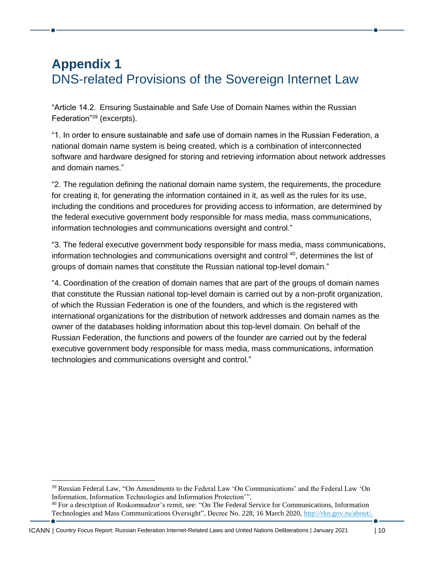## <span id="page-9-1"></span><span id="page-9-0"></span>**Appendix 1**  DNS-related Provisions of the Sovereign Internet Law

"Article 14.2. Ensuring Sustainable and Safe Use of Domain Names within the Russian Federation"<sup>39</sup> (excerpts).

"1. In order to ensure sustainable and safe use of domain names in the Russian Federation, a national domain name system is being created, which is a combination of interconnected software and hardware designed for storing and retrieving information about network addresses and domain names."

"2. The regulation defining the national domain name system, the requirements, the procedure for creating it, for generating the information contained in it, as well as the rules for its use, including the conditions and procedures for providing access to information, are determined by the federal executive government body responsible for mass media, mass communications, information technologies and communications oversight and control."

"3. The federal executive government body responsible for mass media, mass communications, information technologies and communications oversight and control <sup>40</sup>, determines the list of groups of domain names that constitute the Russian national top-level domain."

"4. Coordination of the creation of domain names that are part of the groups of domain names that constitute the Russian national top-level domain is carried out by a non-profit organization, of which the Russian Federation is one of the founders, and which is the registered with international organizations for the distribution of network addresses and domain names as the owner of the databases holding information about this top-level domain. On behalf of the Russian Federation, the functions and powers of the founder are carried out by the federal executive government body responsible for mass media, mass communications, information technologies and communications oversight and control."

<sup>39</sup> Russian Federal Law, "On Amendments to the Federal Law 'On Communications' and the Federal Law 'On Information, Information Technologies and Information Protection'".

<sup>40</sup> For a description of Roskomnadzor's remit, see: "On The Federal Service for Communications, Information Technologies and Mass Communications Oversight", Decree No. 228, 16 March 2020, [http://rkn.gov.ru/about/.](http://rkn.gov.ru/about/)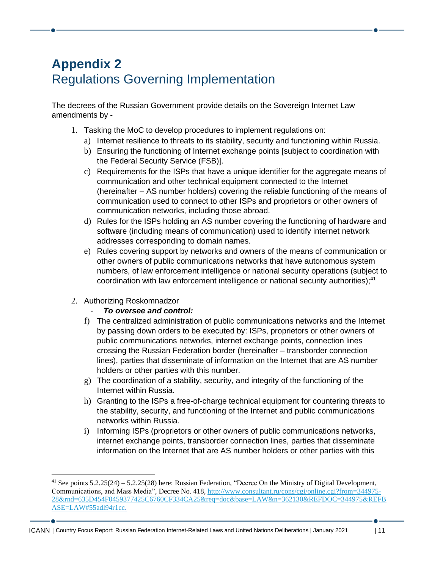## <span id="page-10-1"></span><span id="page-10-0"></span>**Appendix 2**  Regulations Governing Implementation

The decrees of the Russian Government provide details on the Sovereign Internet Law amendments by -

- 1. Tasking the MoC to develop procedures to implement regulations on:
	- a) Internet resilience to threats to its stability, security and functioning within Russia.
	- b) Ensuring the functioning of Internet exchange points [subject to coordination with the Federal Security Service (FSB)].
	- c) Requirements for the ISPs that have a unique identifier for the aggregate means of communication and other technical equipment connected to the Internet (hereinafter – AS number holders) covering the reliable functioning of the means of communication used to connect to other ISPs and proprietors or other owners of communication networks, including those abroad.
	- d) Rules for the ISPs holding an AS number covering the functioning of hardware and software (including means of communication) used to identify internet network addresses corresponding to domain names.
	- e) Rules covering support by networks and owners of the means of communication or other owners of public communications networks that have autonomous system numbers, of law enforcement intelligence or national security operations (subject to coordination with law enforcement intelligence or national security authorities); 41
- 2. Authorizing Roskomnadzor

#### - *To oversee and control:*

- f) The centralized administration of public communications networks and the Internet by passing down orders to be executed by: ISPs, proprietors or other owners of public communications networks, internet exchange points, connection lines crossing the Russian Federation border (hereinafter – transborder connection lines), parties that disseminate of information on the Internet that are AS number holders or other parties with this number.
- g) The coordination of a stability, security, and integrity of the functioning of the Internet within Russia.
- h) Granting to the ISPs a free-of-charge technical equipment for countering threats to the stability, security, and functioning of the Internet and public communications networks within Russia.
- i) Informing ISPs (proprietors or other owners of public communications networks, internet exchange points, transborder connection lines, parties that disseminate information on the Internet that are AS number holders or other parties with this

<sup>41</sup> See points 5.2.25(24) – 5.2.25(28) here: Russian Federation, "Decree On the Ministry of Digital Development, Communications, and Mass Media", Decree No. 418, [http://www.consultant.ru/cons/cgi/online.cgi?from=344975-](http://www.consultant.ru/cons/cgi/online.cgi?from=344975-28&rnd=635D454F0459377425C6760CF334CA25&req=doc&base=LAW&n=362130&REFDOC=344975&REFBASE=LAW#55adl94r1cc) [28&rnd=635D454F0459377425C6760CF334CA25&req=doc&base=LAW&n=362130&REFDOC=344975&REFB](http://www.consultant.ru/cons/cgi/online.cgi?from=344975-28&rnd=635D454F0459377425C6760CF334CA25&req=doc&base=LAW&n=362130&REFDOC=344975&REFBASE=LAW#55adl94r1cc) [ASE=LAW#55adl94r1cc.](http://www.consultant.ru/cons/cgi/online.cgi?from=344975-28&rnd=635D454F0459377425C6760CF334CA25&req=doc&base=LAW&n=362130&REFDOC=344975&REFBASE=LAW#55adl94r1cc)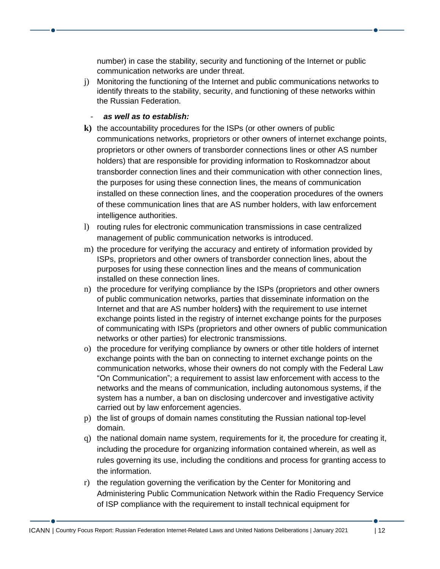number) in case the stability, security and functioning of the Internet or public communication networks are under threat.

j) Monitoring the functioning of the Internet and public communications networks to identify threats to the stability, security, and functioning of these networks within the Russian Federation.

#### - *as well as to establish:*

- **k)** the accountability procedures for the ISPs (or other owners of public communications networks, proprietors or other owners of internet exchange points, proprietors or other owners of transborder connections lines or other AS number holders) that are responsible for providing information to Roskomnadzor about transborder connection lines and their communication with other connection lines, the purposes for using these connection lines, the means of communication installed on these connection lines, and the cooperation procedures of the owners of these communication lines that are AS number holders, with law enforcement intelligence authorities.
- l) routing rules for electronic communication transmissions in case centralized management of public communication networks is introduced.
- m) the procedure for verifying the accuracy and entirety of information provided by ISPs, proprietors and other owners of transborder connection lines, about the purposes for using these connection lines and the means of communication installed on these connection lines.
- n) the procedure for verifying compliance by the ISPs (proprietors and other owners of public communication networks, parties that disseminate information on the Internet and that are AS number holders**)** with the requirement to use internet exchange points listed in the registry of internet exchange points for the purposes of communicating with ISPs (proprietors and other owners of public communication networks or other parties) for electronic transmissions.
- o) the procedure for verifying compliance by owners or other title holders of internet exchange points with the ban on connecting to internet exchange points on the communication networks, whose their owners do not comply with the Federal Law "On Communication"; a requirement to assist law enforcement with access to the networks and the means of communication, including autonomous systems, if the system has a number, a ban on disclosing undercover and investigative activity carried out by law enforcement agencies.
- p) the list of groups of domain names constituting the Russian national top-level domain.
- q) the national domain name system, requirements for it, the procedure for creating it, including the procedure for organizing information contained wherein, as well as rules governing its use, including the conditions and process for granting access to the information.
- r) the regulation governing the verification by the Center for Monitoring and Administering Public Communication Network within the Radio Frequency Service of ISP compliance with the requirement to install technical equipment for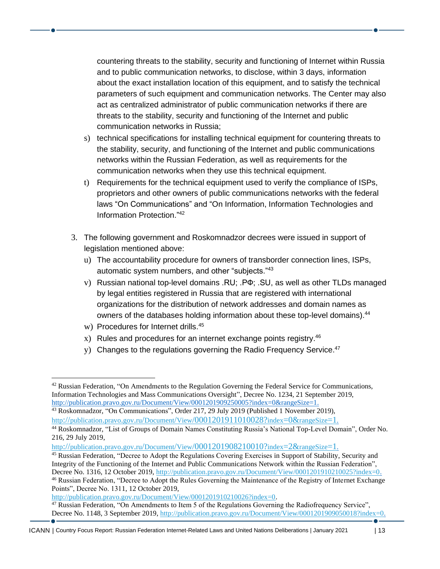countering threats to the stability, security and functioning of Internet within Russia and to public communication networks, to disclose, within 3 days, information about the exact installation location of this equipment, and to satisfy the technical parameters of such equipment and communication networks. The Center may also act as centralized administrator of public communication networks if there are threats to the stability, security and functioning of the Internet and public communication networks in Russia;

- s) technical specifications for installing technical equipment for countering threats to the stability, security, and functioning of the Internet and public communications networks within the Russian Federation, as well as requirements for the communication networks when they use this technical equipment.
- t) Requirements for the technical equipment used to verify the compliance of ISPs, proprietors and other owners of public communications networks with the federal laws "On Communications" and "On Information, Information Technologies and Information Protection." 42
- 3. The following government and Roskomnadzor decrees were issued in support of legislation mentioned above:
	- u) The accountability procedure for owners of transborder connection lines, ISPs, automatic system numbers, and other "subjects."<sup>43</sup>
	- v) Russian national top-level domains .RU; .РФ; .SU, as well as other TLDs managed by legal entities registered in Russia that are registered with international organizations for the distribution of network addresses and domain names as owners of the databases holding information about these top-level domains).<sup>44</sup>
	- w) Procedures for Internet drills. 45
	- x) Rules and procedures for an internet exchange points registry.<sup>46</sup>
	- y) Changes to the regulations governing the Radio Frequency Service.<sup>47</sup>

 $42$  Russian Federation, "On Amendments to the Regulation Governing the Federal Service for Communications, Information Technologies and Mass Communications Oversight", Decree No. 1234, 21 September 2019, [http://publication.pravo.gov.ru/Document/View/0001201909250005?index=0&rangeSize=1.](http://publication.pravo.gov.ru/Document/View/0001201909250005?index=0&rangeSize=1)

<sup>43</sup> Roskomnadzor, "On Communications", Order 217, 29 July 2019 (Published 1 November 2019), http://publication.pravo.gov.ru/Document/View[/0001201911010028?](http://publication.pravo.gov.ru/Document/View/0001201911010028?index=0&rangeSize=1)index=0&rangeSize[=1](http://publication.pravo.gov.ru/Document/View/0001201911010028?index=0&rangeSize=1).

<sup>44</sup> Roskomnadzor, "List of Groups of Domain Names Constituting Russia's National Top-Level Domain", Order No. 216, 29 July 2019,

http://publication.pravo.gov.ru/Document/View[/0001201908210010?](http://publication.pravo.gov.ru/Document/View/0001201908210010?index=2&rangeSize=1)index=2&rangeSize[=1](http://publication.pravo.gov.ru/Document/View/0001201908210010?index=2&rangeSize=1).

<sup>45</sup> Russian Federation, "Decree to Adopt the Regulations Covering Exercises in Support of Stability, Security and Integrity of the Functioning of the Internet and Public Communications Network within the Russian Federation", Decree No. 1316, 12 October 2019, [http://publication.pravo.gov.ru/Document/View/0001201910210025?index=0.](http://publication.pravo.gov.ru/Document/View/0001201910210025?index=0)

<sup>46</sup> Russian Federation, "Decree to Adopt the Rules Governing the Maintenance of the Registry of Internet Exchange Points", Decree No. 1311, 12 October 2019,

[http://publication.pravo.gov.ru/Document/View/0001201910210026?index=0.](http://publication.pravo.gov.ru/Document/View/0001201910210026?index=0)

 $47$  Russian Federation, "On Amendments to Item 5 of the Regulations Governing the Radiofrequency Service", Decree No. 1148, 3 September 2019, [http://publication.pravo.gov.ru/Document/View/0001201909050018?index=0.](http://publication.pravo.gov.ru/Document/View/0001201909050018?index=0)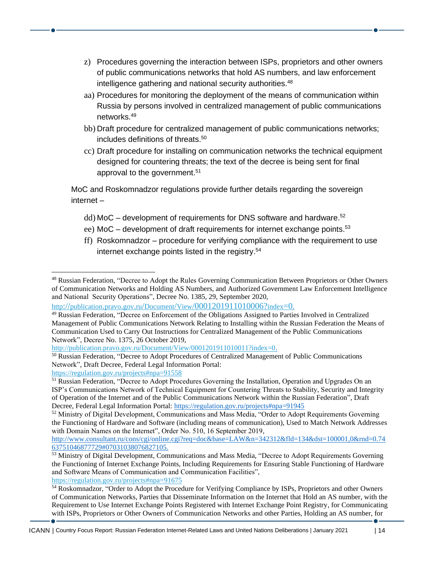- z) Procedures governing the interaction between ISPs, proprietors and other owners of public communications networks that hold AS numbers, and law enforcement intelligence gathering and national security authorities.<sup>48</sup>
- aa) Procedures for monitoring the deployment of the means of communication within Russia by persons involved in centralized management of public communications networks. 49
- bb) Draft procedure for centralized management of public communications networks; includes definitions of threats. 50
- cc) Draft procedure for installing on communication networks the technical equipment designed for countering threats; the text of the decree is being sent for final approval to the government.<sup>51</sup>

MoC and Roskomnadzor regulations provide further details regarding the sovereign internet –

- dd) MoC development of requirements for DNS software and hardware. 52
- ee) MoC development of draft requirements for internet exchange points.<sup>53</sup>
- ff) Roskomnadzor procedure for verifying compliance with the requirement to use internet exchange points listed in the registry. 54

[http://publication.pravo.gov.ru/Document/View/0001201911010011?index=0.](http://publication.pravo.gov.ru/Document/View/0001201911010011?index=0)

<https://regulation.gov.ru/projects#npa=91558>

<sup>48</sup> Russian Federation, "Decree to Adopt the Rules Governing Communication Between Proprietors or Other Owners of Communication Networks and Holding AS Numbers, and Authorized Government Law Enforcement Intelligence and National Security Operations", Decree No. 1385, 29, September 2020,

http://publication.pravo.gov.ru/Document/View[/0001201911010006?](http://publication.pravo.gov.ru/Document/View/0001201911010006?index=0)index[=0](http://publication.pravo.gov.ru/Document/View/0001201911010006?index=0).

<sup>49</sup> Russian Federation, "Decree on Enforcement of the Obligations Assigned to Parties Involved in Centralized Management of Public Communications Network Relating to Installing within the Russian Federation the Means of Communication Used to Carry Out Instructions for Centralized Management of the Public Communications Network", Decree No. 1375, 26 October 2019,

<sup>&</sup>lt;sup>50</sup> Russian Federation, "Decree to Adopt Procedures of Centralized Management of Public Communications Network", Draft Decree, Federal Legal Information Portal:

<sup>&</sup>lt;sup>51</sup> Russian Federation, "Decree to Adopt Procedures Governing the Installation, Operation and Upgrades On an ISP's Communications Network of Technical Equipment for Countering Threats to Stability, Security and Integrity of Operation of the Internet and of the Public Communications Network within the Russian Federation", Draft Decree, Federal Legal Information Portal: <https://regulation.gov.ru/projects#npa=91945>

<sup>&</sup>lt;sup>52</sup> Ministry of Digital Development, Communications and Mass Media, "Order to Adopt Requirements Governing the Functioning of Hardware and Software (including means of communication), Used to Match Network Addresses with Domain Names on the Internet", Order No. 510, 16 September 2019,

[http://www.consultant.ru/cons/cgi/online.cgi?req=doc&base=LAW&n=342312&fld=134&dst=100001,0&rnd=0.74](http://www.consultant.ru/cons/cgi/online.cgi?req=doc&base=LAW&n=342312&fld=134&dst=100001,0&rnd=0.7463751046877729#07031038076827105) [63751046877729#07031038076827105.](http://www.consultant.ru/cons/cgi/online.cgi?req=doc&base=LAW&n=342312&fld=134&dst=100001,0&rnd=0.7463751046877729#07031038076827105)

<sup>&</sup>lt;sup>53</sup> Ministry of Digital Development, Communications and Mass Media, "Decree to Adopt Requirements Governing the Functioning of Internet Exchange Points, Including Requirements for Ensuring Stable Functioning of Hardware and Software Means of Communication and Communication Facilities", <https://regulation.gov.ru/projects#npa=91675>

<sup>54</sup> Roskomnadzor, "Order to Adopt the Procedure for Verifying Compliance by ISPs, Proprietors and other Owners of Communication Networks, Parties that Disseminate Information on the Internet that Hold an AS number, with the Requirement to Use Internet Exchange Points Registered with Internet Exchange Point Registry, for Communicating with ISPs, Proprietors or Other Owners of Communication Networks and other Parties, Holding an AS number, for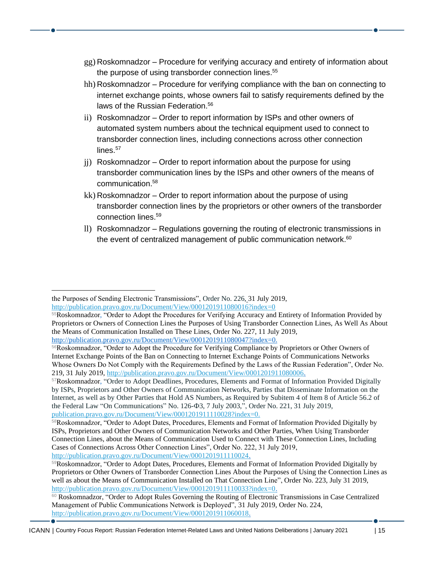- gg) Roskomnadzor Procedure for verifying accuracy and entirety of information about the purpose of using transborder connection lines.<sup>55</sup>
- hh) Roskomnadzor Procedure for verifying compliance with the ban on connecting to internet exchange points, whose owners fail to satisfy requirements defined by the laws of the Russian Federation. 56
- ii) Roskomnadzor Order to report information by ISPs and other owners of automated system numbers about the technical equipment used to connect to transborder connection lines, including connections across other connection lines. 57
- jj) Roskomnadzor Order to report information about the purpose for using transborder communication lines by the ISPs and other owners of the means of communication. 58
- kk) Roskomnadzor Order to report information about the purpose of using transborder connection lines by the proprietors or other owners of the transborder connection lines. 59
- ll) Roskomnadzor Regulations governing the routing of electronic transmissions in the event of centralized management of public communication network.<sup>60</sup>

the Purposes of Sending Electronic Transmissions", Order No. 226, 31 July 2019, <http://publication.pravo.gov.ru/Document/View/0001201911080016?index=0>

<sup>55</sup>Roskomnadzor, "Order to Adopt the Procedures for Verifying Accuracy and Entirety of Information Provided by Proprietors or Owners of Connection Lines the Purposes of Using Transborder Connection Lines, As Well As About the Means of Communication Installed on These Lines, Order No. 227, 11 July 2019, [http://publication.pravo.gov.ru/Document/View/0001201911080047?index=0.](http://publication.pravo.gov.ru/Document/View/0001201911080047?index=0)

<sup>56</sup>Roskomnadzor, "Order to Adopt the Procedure for Verifying Compliance by Proprietors or Other Owners of Internet Exchange Points of the Ban on Connecting to Internet Exchange Points of Communications Networks Whose Owners Do Not Comply with the Requirements Defined by the Laws of the Russian Federation", Order No. 219, 31 July 2019[, http://publication.pravo.gov.ru/Document/View/0001201911080006.](http://publication.pravo.gov.ru/Document/View/0001201911080006)

<sup>57</sup>Roskomnadzor, "Order to Adopt Deadlines, Procedures, Elements and Format of Information Provided Digitally by ISPs, Proprietors and Other Owners of Communication Networks, Parties that Disseminate Information on the Internet, as well as by Other Parties that Hold AS Numbers, as Required by Subitem 4 of Item 8 of Article 56.2 of the Federal Law "On Communications" No. 126-Ф3, 7 July 2003,", Order No. 221, 31 July 2019, [publication.pravo.gov.ru/Document/View/0001201911110028?index=0.](http://publication.pravo.gov.ru/Document/View/0001201911110028?index=0.)

<sup>58</sup>Roskomnadzor, "Order to Adopt Dates, Procedures, Elements and Format of Information Provided Digitally by ISPs, Proprietors and Other Owners of Communication Networks and Other Parties, When Using Transborder Connection Lines, about the Means of Communication Used to Connect with These Connection Lines, Including Cases of Connections Across Other Connection Lines", Order No. 222, 31 July 2019, [http://publication.pravo.gov.ru/Document/View/0001201911110024.](http://publication.pravo.gov.ru/Document/View/0001201911110024)

<sup>59</sup>Roskomnadzor, "Order to Adopt Dates, Procedures, Elements and Format of Information Provided Digitally by Proprietors or Other Owners of Transborder Connection Lines About the Purposes of Using the Connection Lines as well as about the Means of Communication Installed on That Connection Line", Order No. 223, July 31 2019, [http://publication.pravo.gov.ru/Document/View/0001201911110033?index=0.](http://publication.pravo.gov.ru/Document/View/0001201911110033?index=0)

<sup>60</sup> Roskomnadzor, "Order to Adopt Rules Governing the Routing of Electronic Transmissions in Case Centralized Management of Public Communications Network is Deployed", 31 July 2019, Order No. 224, [http://publication.pravo.gov.ru/Document/View/0001201911060018.](http://publication.pravo.gov.ru/Document/View/0001201911060018)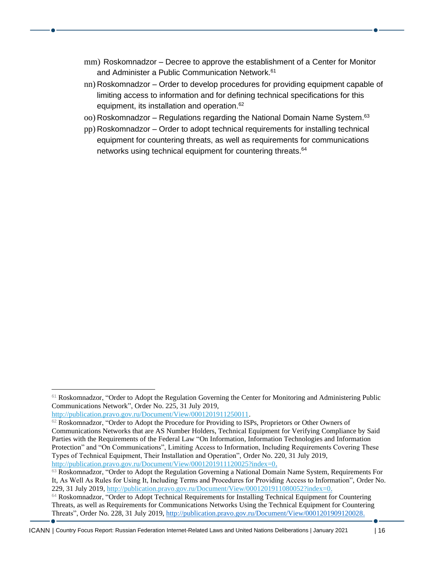- mm) Roskomnadzor Decree to approve the establishment of a Center for Monitor and Administer a Public Communication Network. 61
- nn) Roskomnadzor Order to develop procedures for providing equipment capable of limiting access to information and for defining technical specifications for this equipment, its installation and operation. 62
- oo) Roskomnadzor Regulations regarding the National Domain Name System. 63
- pp) Roskomnadzor Order to adopt technical requirements for installing technical equipment for countering threats, as well as requirements for communications networks using technical equipment for countering threats.<sup>64</sup>

[http://publication.pravo.gov.ru/Document/View/0001201911250011.](http://publication.pravo.gov.ru/Document/View/0001201911250011)

<sup>&</sup>lt;sup>61</sup> Roskomnadzor, "Order to Adopt the Regulation Governing the Center for Monitoring and Administering Public Communications Network", Order No. 225, 31 July 2019,

<sup>&</sup>lt;sup>62</sup> Roskomnadzor, "Order to Adopt the Procedure for Providing to ISPs, Proprietors or Other Owners of Communications Networks that are AS Number Holders, Technical Equipment for Verifying Compliance by Said Parties with the Requirements of the Federal Law "On Information, Information Technologies and Information Protection" and "On Communications", Limiting Access to Information, Including Requirements Covering These Types of Technical Equipment, Their Installation and Operation", Order No. 220, 31 July 2019, [http://publication.pravo.gov.ru/Document/View/0001201911120025?index=0.](http://publication.pravo.gov.ru/Document/View/0001201911120025?index=0)

<sup>&</sup>lt;sup>63</sup> Roskomnadzor, "Order to Adopt the Regulation Governing a National Domain Name System, Requirements For It, As Well As Rules for Using It, Including Terms and Procedures for Providing Access to Information", Order No. 229, 31 July 2019[, http://publication.pravo.gov.ru/Document/View/0001201911080052?index=0.](http://publication.pravo.gov.ru/Document/View/0001201911080052?index=0)

<sup>&</sup>lt;sup>64</sup> Roskomnadzor, "Order to Adopt Technical Requirements for Installing Technical Equipment for Countering Threats, as well as Requirements for Communications Networks Using the Technical Equipment for Countering Threats", Order No. 228, 31 July 2019, [http://publication.pravo.gov.ru/Document/View/0001201909120028.](http://publication.pravo.gov.ru/Document/View/0001201909120028)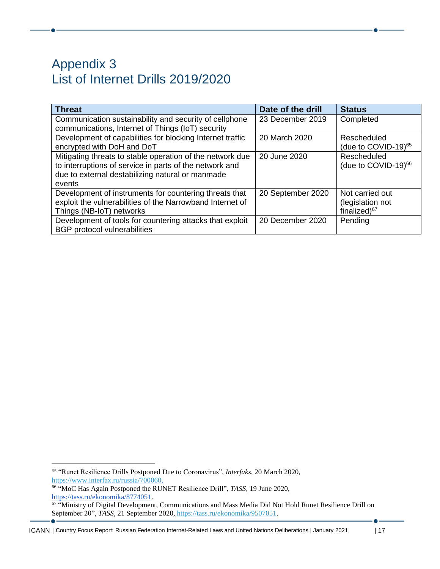#### <span id="page-16-1"></span><span id="page-16-0"></span>Appendix 3 List of Internet Drills 2019/2020

| <b>Threat</b>                                             | Date of the drill | <b>Status</b>                   |
|-----------------------------------------------------------|-------------------|---------------------------------|
| Communication sustainability and security of cellphone    | 23 December 2019  | Completed                       |
| communications, Internet of Things (IoT) security         |                   |                                 |
| Development of capabilities for blocking Internet traffic | 20 March 2020     | Rescheduled                     |
| encrypted with DoH and DoT                                |                   | (due to COVID-19) $65$          |
| Mitigating threats to stable operation of the network due | 20 June 2020      | Rescheduled                     |
| to interruptions of service in parts of the network and   |                   | (due to COVID-19) <sup>66</sup> |
| due to external destabilizing natural or manmade          |                   |                                 |
| events                                                    |                   |                                 |
| Development of instruments for countering threats that    | 20 September 2020 | Not carried out                 |
| exploit the vulnerabilities of the Narrowband Internet of |                   | (legislation not                |
| Things (NB-IoT) networks                                  |                   | finalized) <sup>67</sup>        |
| Development of tools for countering attacks that exploit  | 20 December 2020  | Pending                         |
| <b>BGP</b> protocol vulnerabilities                       |                   |                                 |

<sup>65</sup> "Runet Resilience Drills Postponed Due to Coronavirus", *Interfaks*, 20 March 2020, [https://www.interfax.ru/russia/700060.](https://www.interfax.ru/russia/700060)

66 "MoC Has Again Postponed the RUNET Resilience Drill", *TASS*, 19 June 2020,

[https://tass.ru/ekonomika/8774051.](https://tass.ru/ekonomika/8774051)<br><sup>67</sup> "Ministry of Digital Development, Communications and Mass Media Did Not Hold Runet Resilience Drill on September 20", *TASS,* 21 September 2020, [https://tass.ru/ekonomika/9507051.](https://tass.ru/ekonomika/9507051)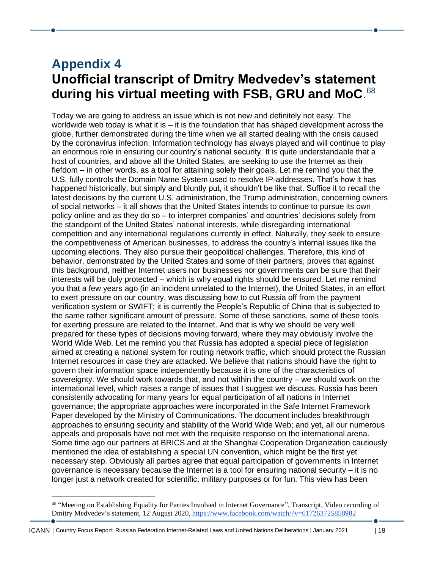#### <span id="page-17-1"></span><span id="page-17-0"></span>**Appendix 4 Unofficial transcript of Dmitry Medvedev's statement during his virtual meeting with FSB, GRU and MoC**. 68

Today we are going to address an issue which is not new and definitely not easy. The worldwide web today is what it is  $-$  it is the foundation that has shaped development across the globe, further demonstrated during the time when we all started dealing with the crisis caused by the coronavirus infection. Information technology has always played and will continue to play an enormous role in ensuring our country's national security. It is quite understandable that a host of countries, and above all the United States, are seeking to use the Internet as their fiefdom – in other words, as a tool for attaining solely their goals. Let me remind you that the U.S. fully controls the Domain Name System used to resolve IP-addresses. That's how it has happened historically, but simply and bluntly put, it shouldn't be like that. Suffice it to recall the latest decisions by the current U.S. administration, the Trump administration, concerning owners of social networks – it all shows that the United States intends to continue to pursue its own policy online and as they do so – to interpret companies' and countries' decisions solely from the standpoint of the United States' national interests, while disregarding international competition and any international regulations currently in effect. Naturally, they seek to ensure the competitiveness of American businesses, to address the country's internal issues like the upcoming elections. They also pursue their geopolitical challenges. Therefore, this kind of behavior, demonstrated by the United States and some of their partners, proves that against this background, neither Internet users nor businesses nor governments can be sure that their interests will be duly protected – which is why equal rights should be ensured. Let me remind you that a few years ago (in an incident unrelated to the Internet), the United States, in an effort to exert pressure on our country, was discussing how to cut Russia off from the payment verification system or SWIFT; it is currently the People's Republic of China that is subjected to the same rather significant amount of pressure. Some of these sanctions, some of these tools for exerting pressure are related to the Internet. And that is why we should be very well prepared for these types of decisions moving forward, where they may obviously involve the World Wide Web. Let me remind you that Russia has adopted a special piece of legislation aimed at creating a national system for routing network traffic, which should protect the Russian Internet resources in case they are attacked. We believe that nations should have the right to govern their information space independently because it is one of the characteristics of sovereignty. We should work towards that, and not within the country – we should work on the international level, which raises a range of issues that I suggest we discuss. Russia has been consistently advocating for many years for equal participation of all nations in Internet governance; the appropriate approaches were incorporated in the Safe Internet Framework Paper developed by the Ministry of Communications. The document includes breakthrough approaches to ensuring security and stability of the World Wide Web; and yet, all our numerous appeals and proposals have not met with the requisite response on the international arena. Some time ago our partners at BRICS and at the Shanghai Cooperation Organization cautiously mentioned the idea of establishing a special UN convention, which might be the first yet necessary step. Obviously all parties agree that equal participation of governments in Internet governance is necessary because the Internet is a tool for ensuring national security – it is no longer just a network created for scientific, military purposes or for fun. This view has been

<sup>&</sup>lt;sup>68</sup> "Meeting on Establishing Equality for Parties Involved in Internet Governance", Transcript, Video recording of Dmitry Medvedev's statement, 12 August 2020[, https://www.facebook.com/watch/?v=617263725858982](https://www.facebook.com/watch/?v=617263725858982)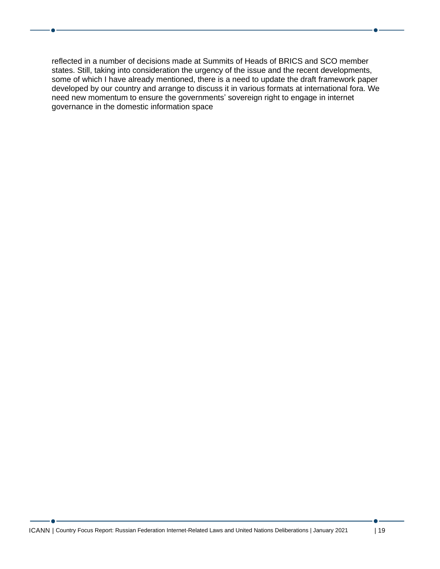reflected in a number of decisions made at Summits of Heads of BRICS and SCO member states. Still, taking into consideration the urgency of the issue and the recent developments, some of which I have already mentioned, there is a need to update the draft framework paper developed by our country and arrange to discuss it in various formats at international fora. We need new momentum to ensure the governments' sovereign right to engage in internet governance in the domestic information space